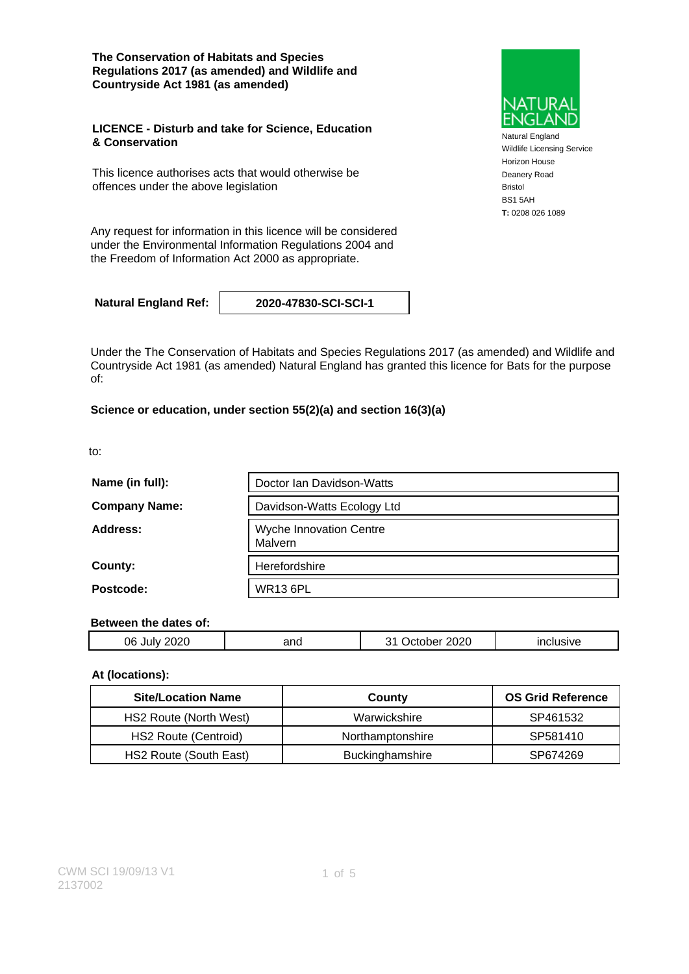**The Conservation of Habitats and Species Regulations 2017 (as amended) and Wildlife and Countryside Act 1981 (as amended)**

#### **LICENCE - Disturb and take for Science, Education & Conservation**

This licence authorises acts that would otherwise be offences under the above legislation

Natural England Wildlife Licensing Service Horizon House Deanery Road Bristol BS1 5AH **T:** 0208 026 1089

Any request for information in this licence will be considered under the Environmental Information Regulations 2004 and the Freedom of Information Act 2000 as appropriate.

**Natural England Ref: 2020-47830-SCI-SCI-1**

Under the The Conservation of Habitats and Species Regulations 2017 (as amended) and Wildlife and Countryside Act 1981 (as amended) Natural England has granted this licence for Bats for the purpose of:

### **Science or education, under section 55(2)(a) and section 16(3)(a)**

to:

| Name (in full):      | Doctor Ian Davidson-Watts                 |  |  |
|----------------------|-------------------------------------------|--|--|
| <b>Company Name:</b> | Davidson-Watts Ecology Ltd                |  |  |
| Address:             | <b>Wyche Innovation Centre</b><br>Malvern |  |  |
| County:              | Herefordshire                             |  |  |
| Postcode:            | <b>WR13 6PL</b>                           |  |  |

#### **Between the dates of:**

| ÛĖ<br>.,<br>.<br>. . | and | 020<br>.,<br>ЛC | - -- - - |
|----------------------|-----|-----------------|----------|
|                      |     |                 |          |

### **At (locations):**

| <b>Site/Location Name</b> | County           | <b>OS Grid Reference</b> |
|---------------------------|------------------|--------------------------|
| HS2 Route (North West)    | Warwickshire     | SP461532                 |
| HS2 Route (Centroid)      | Northamptonshire | SP581410                 |
| HS2 Route (South East)    | Buckinghamshire  | SP674269                 |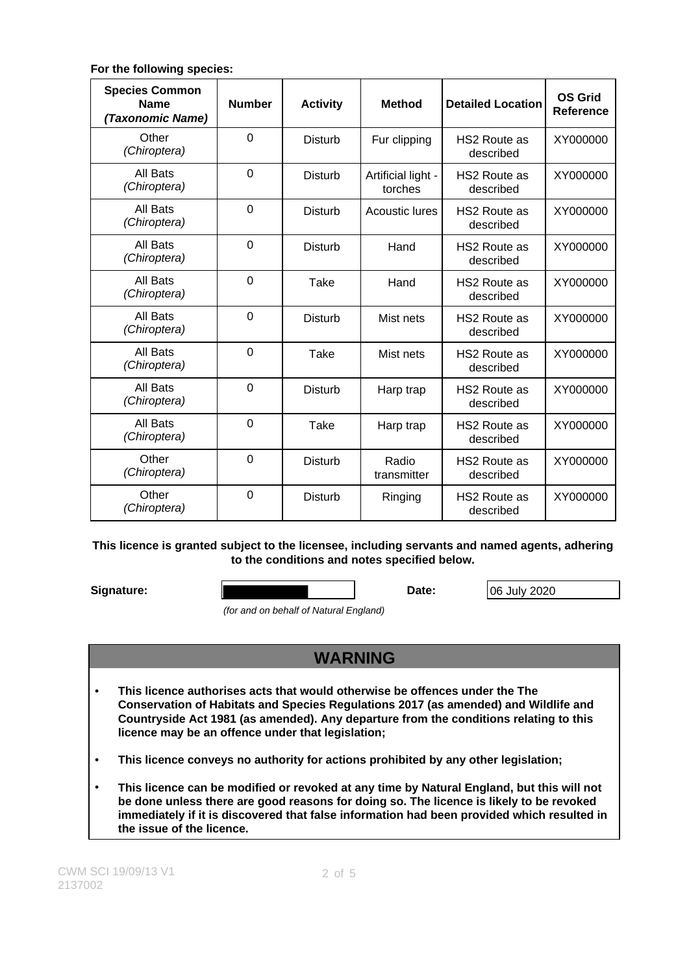### **For the following species:**

| <b>Species Common</b><br><b>Name</b><br>(Taxonomic Name) | <b>Number</b>  | <b>Activity</b> | <b>Method</b>                 | <b>Detailed Location</b>         | <b>OS Grid</b><br>Reference |
|----------------------------------------------------------|----------------|-----------------|-------------------------------|----------------------------------|-----------------------------|
| Other<br>(Chiroptera)                                    | $\Omega$       | Disturb         | Fur clipping                  | HS2 Route as<br>described        | XY000000                    |
| All Bats<br>(Chiroptera)                                 | $\overline{0}$ | <b>Disturb</b>  | Artificial light -<br>torches | <b>HS2 Route as</b><br>described | XY000000                    |
| All Bats<br>(Chiroptera)                                 | $\overline{0}$ | <b>Disturb</b>  | Acoustic lures                | <b>HS2 Route as</b><br>described | XY000000                    |
| All Bats<br>(Chiroptera)                                 | $\Omega$       | <b>Disturb</b>  | Hand                          | <b>HS2 Route as</b><br>described | XY000000                    |
| All Bats<br>(Chiroptera)                                 | $\Omega$       | Take            | Hand                          | <b>HS2 Route as</b><br>described | XY000000                    |
| All Bats<br>(Chiroptera)                                 | $\Omega$       | Disturb         | Mist nets                     | <b>HS2 Route as</b><br>described | XY000000                    |
| All Bats<br>(Chiroptera)                                 | $\overline{0}$ | Take            | Mist nets                     | <b>HS2 Route as</b><br>described | XY000000                    |
| All Bats<br>(Chiroptera)                                 | $\overline{0}$ | <b>Disturb</b>  | Harp trap                     | HS2 Route as<br>described        | XY000000                    |
| All Bats<br>(Chiroptera)                                 | $\overline{0}$ | Take            | Harp trap                     | <b>HS2 Route as</b><br>described | XY000000                    |
| Other<br>(Chiroptera)                                    | $\overline{0}$ | <b>Disturb</b>  | Radio<br>transmitter          | <b>HS2 Route as</b><br>described | XY000000                    |
| Other<br>(Chiroptera)                                    | $\overline{0}$ | <b>Disturb</b>  | Ringing                       | <b>HS2 Route as</b><br>described | XY000000                    |

#### **This licence is granted subject to the licensee, including servants and named agents, adhering to the conditions and notes specified below.**

**Signature: Date: Date: Date: Date: Date: Date: Date: Date: Date: Date: Date: Date: Date: Date: Date: Date: Date: Date: Date: Date: Date: Date: Date: Date: Date: Date:**

(for and on behalf of Natural England)

# **WARNING**

- **This licence authorises acts that would otherwise be offences under the The Conservation of Habitats and Species Regulations 2017 (as amended) and Wildlife and Countryside Act 1981 (as amended). Any departure from the conditions relating to this licence may be an offence under that legislation;**
- **This licence conveys no authority for actions prohibited by any other legislation;**
- **This licence can be modified or revoked at any time by Natural England, but this will not be done unless there are good reasons for doing so. The licence is likely to be revoked immediately if it is discovered that false information had been provided which resulted in the issue of the licence.**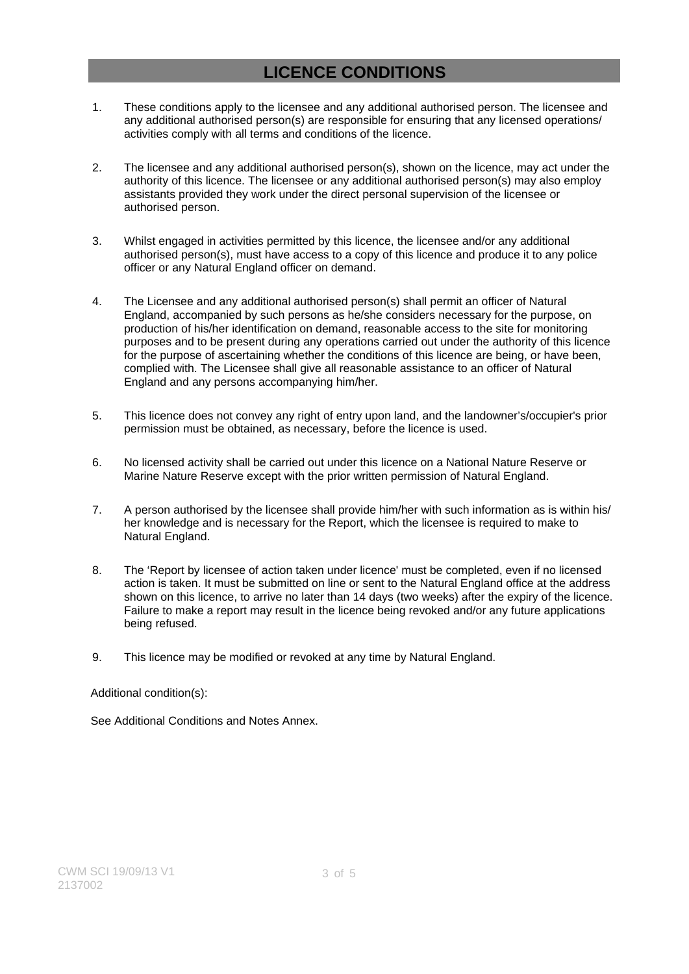# **LICENCE CONDITIONS**

- 1. These conditions apply to the licensee and any additional authorised person. The licensee and any additional authorised person(s) are responsible for ensuring that any licensed operations/ activities comply with all terms and conditions of the licence.
- 2. The licensee and any additional authorised person(s), shown on the licence, may act under the authority of this licence. The licensee or any additional authorised person(s) may also employ assistants provided they work under the direct personal supervision of the licensee or authorised person.
- 3. Whilst engaged in activities permitted by this licence, the licensee and/or any additional authorised person(s), must have access to a copy of this licence and produce it to any police officer or any Natural England officer on demand.
- 4. The Licensee and any additional authorised person(s) shall permit an officer of Natural England, accompanied by such persons as he/she considers necessary for the purpose, on production of his/her identification on demand, reasonable access to the site for monitoring purposes and to be present during any operations carried out under the authority of this licence for the purpose of ascertaining whether the conditions of this licence are being, or have been, complied with. The Licensee shall give all reasonable assistance to an officer of Natural England and any persons accompanying him/her.
- 5. This licence does not convey any right of entry upon land, and the landowner's/occupier's prior permission must be obtained, as necessary, before the licence is used.
- 6. No licensed activity shall be carried out under this licence on a National Nature Reserve or Marine Nature Reserve except with the prior written permission of Natural England.
- 7. A person authorised by the licensee shall provide him/her with such information as is within his/ her knowledge and is necessary for the Report, which the licensee is required to make to Natural England.
- 8. The 'Report by licensee of action taken under licence' must be completed, even if no licensed action is taken. It must be submitted on line or sent to the Natural England office at the address shown on this licence, to arrive no later than 14 days (two weeks) after the expiry of the licence. Failure to make a report may result in the licence being revoked and/or any future applications being refused.
- 9. This licence may be modified or revoked at any time by Natural England.

### Additional condition(s):

See Additional Conditions and Notes Annex.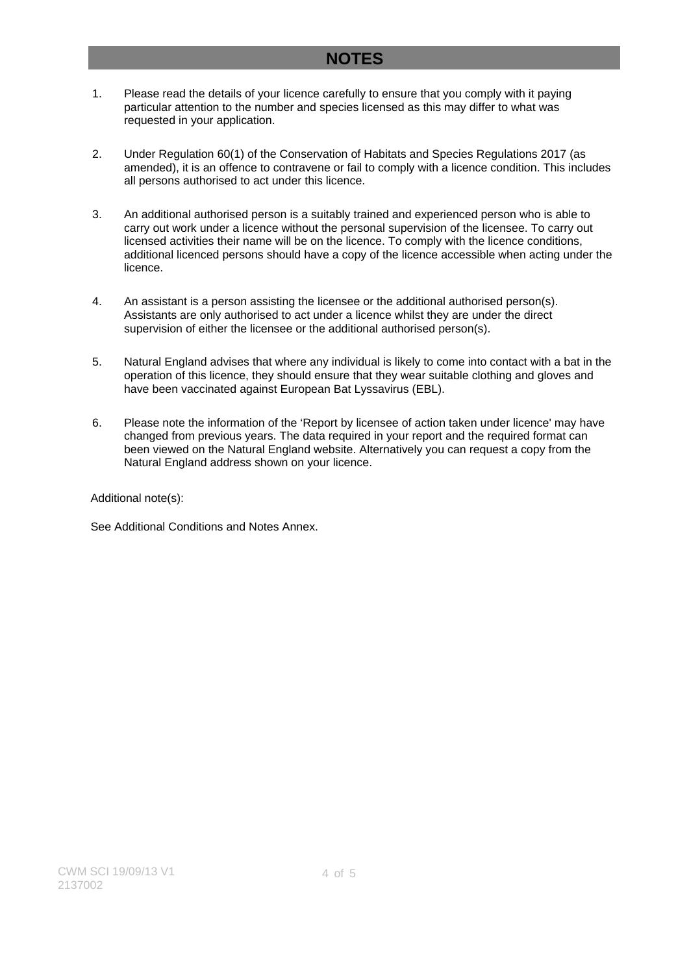## **NOTES**

- 1. Please read the details of your licence carefully to ensure that you comply with it paying particular attention to the number and species licensed as this may differ to what was requested in your application.
- 2. Under Regulation 60(1) of the Conservation of Habitats and Species Regulations 2017 (as amended), it is an offence to contravene or fail to comply with a licence condition. This includes all persons authorised to act under this licence.
- 3. An additional authorised person is a suitably trained and experienced person who is able to carry out work under a licence without the personal supervision of the licensee. To carry out licensed activities their name will be on the licence. To comply with the licence conditions, additional licenced persons should have a copy of the licence accessible when acting under the licence.
- 4. An assistant is a person assisting the licensee or the additional authorised person(s). Assistants are only authorised to act under a licence whilst they are under the direct supervision of either the licensee or the additional authorised person(s).
- 5. Natural England advises that where any individual is likely to come into contact with a bat in the operation of this licence, they should ensure that they wear suitable clothing and gloves and have been vaccinated against European Bat Lyssavirus (EBL).
- 6. Please note the information of the 'Report by licensee of action taken under licence' may have changed from previous years. The data required in your report and the required format can been viewed on the Natural England website. Alternatively you can request a copy from the Natural England address shown on your licence.

Additional note(s):

See Additional Conditions and Notes Annex.